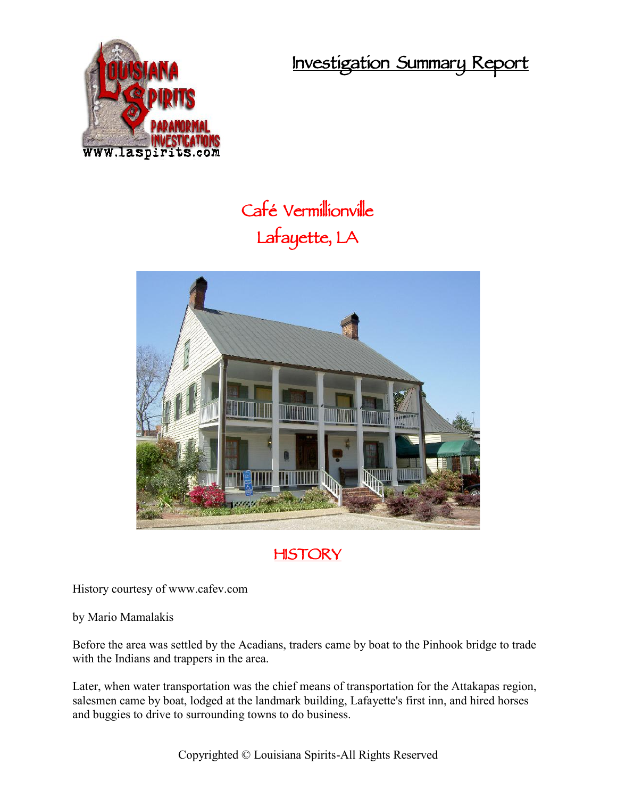**Investigation Summary Report**



## **Café Vermillionville Lafayette, LA**





History courtesy of www.cafev.com

by Mario Mamalakis

Before the area was settled by the Acadians, traders came by boat to the Pinhook bridge to trade with the Indians and trappers in the area.

Later, when water transportation was the chief means of transportation for the Attakapas region, salesmen came by boat, lodged at the landmark building, Lafayette's first inn, and hired horses and buggies to drive to surrounding towns to do business.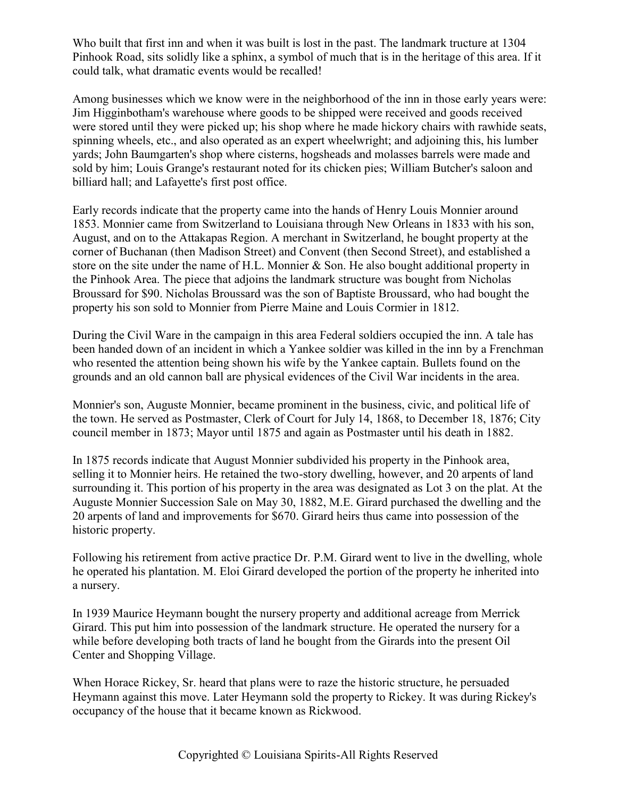Who built that first inn and when it was built is lost in the past. The landmark tructure at 1304 Pinhook Road, sits solidly like a sphinx, a symbol of much that is in the heritage of this area. If it could talk, what dramatic events would be recalled!

Among businesses which we know were in the neighborhood of the inn in those early years were: Jim Higginbotham's warehouse where goods to be shipped were received and goods received were stored until they were picked up; his shop where he made hickory chairs with rawhide seats, spinning wheels, etc., and also operated as an expert wheelwright; and adjoining this, his lumber yards; John Baumgarten's shop where cisterns, hogsheads and molasses barrels were made and sold by him; Louis Grange's restaurant noted for its chicken pies; William Butcher's saloon and billiard hall; and Lafayette's first post office.

Early records indicate that the property came into the hands of Henry Louis Monnier around 1853. Monnier came from Switzerland to Louisiana through New Orleans in 1833 with his son, August, and on to the Attakapas Region. A merchant in Switzerland, he bought property at the corner of Buchanan (then Madison Street) and Convent (then Second Street), and established a store on the site under the name of H.L. Monnier & Son. He also bought additional property in the Pinhook Area. The piece that adjoins the landmark structure was bought from Nicholas Broussard for \$90. Nicholas Broussard was the son of Baptiste Broussard, who had bought the property his son sold to Monnier from Pierre Maine and Louis Cormier in 1812.

During the Civil Ware in the campaign in this area Federal soldiers occupied the inn. A tale has been handed down of an incident in which a Yankee soldier was killed in the inn by a Frenchman who resented the attention being shown his wife by the Yankee captain. Bullets found on the grounds and an old cannon ball are physical evidences of the Civil War incidents in the area.

Monnier's son, Auguste Monnier, became prominent in the business, civic, and political life of the town. He served as Postmaster, Clerk of Court for July 14, 1868, to December 18, 1876; City council member in 1873; Mayor until 1875 and again as Postmaster until his death in 1882.

In 1875 records indicate that August Monnier subdivided his property in the Pinhook area, selling it to Monnier heirs. He retained the two-story dwelling, however, and 20 arpents of land surrounding it. This portion of his property in the area was designated as Lot 3 on the plat. At the Auguste Monnier Succession Sale on May 30, 1882, M.E. Girard purchased the dwelling and the 20 arpents of land and improvements for \$670. Girard heirs thus came into possession of the historic property.

Following his retirement from active practice Dr. P.M. Girard went to live in the dwelling, whole he operated his plantation. M. Eloi Girard developed the portion of the property he inherited into a nursery.

In 1939 Maurice Heymann bought the nursery property and additional acreage from Merrick Girard. This put him into possession of the landmark structure. He operated the nursery for a while before developing both tracts of land he bought from the Girards into the present Oil Center and Shopping Village.

When Horace Rickey, Sr. heard that plans were to raze the historic structure, he persuaded Heymann against this move. Later Heymann sold the property to Rickey. It was during Rickey's occupancy of the house that it became known as Rickwood.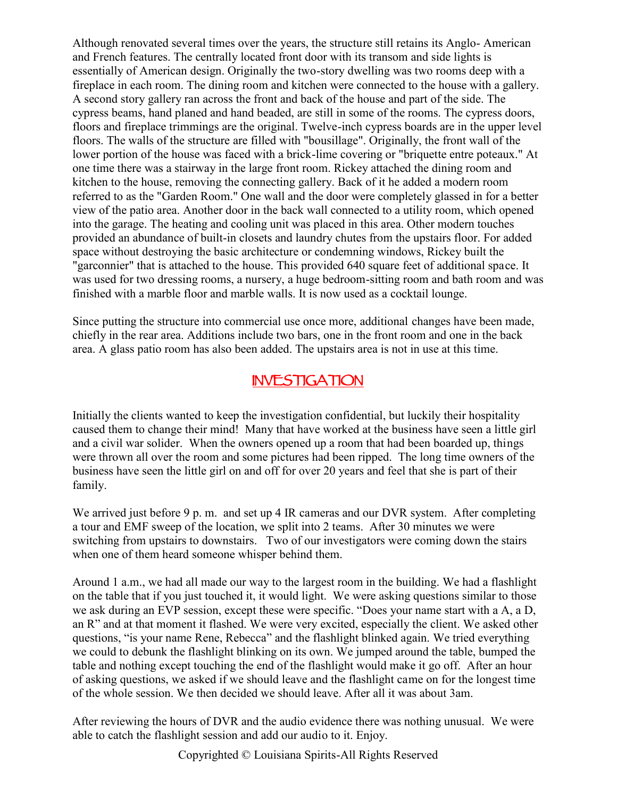Although renovated several times over the years, the structure still retains its Anglo- American and French features. The centrally located front door with its transom and side lights is essentially of American design. Originally the two-story dwelling was two rooms deep with a fireplace in each room. The dining room and kitchen were connected to the house with a gallery. A second story gallery ran across the front and back of the house and part of the side. The cypress beams, hand planed and hand beaded, are still in some of the rooms. The cypress doors, floors and fireplace trimmings are the original. Twelve-inch cypress boards are in the upper level floors. The walls of the structure are filled with "bousillage". Originally, the front wall of the lower portion of the house was faced with a brick-lime covering or "briquette entre poteaux." At one time there was a stairway in the large front room. Rickey attached the dining room and kitchen to the house, removing the connecting gallery. Back of it he added a modern room referred to as the "Garden Room." One wall and the door were completely glassed in for a better view of the patio area. Another door in the back wall connected to a utility room, which opened into the garage. The heating and cooling unit was placed in this area. Other modern touches provided an abundance of built-in closets and laundry chutes from the upstairs floor. For added space without destroying the basic architecture or condemning windows, Rickey built the "garconnier" that is attached to the house. This provided 640 square feet of additional space. It was used for two dressing rooms, a nursery, a huge bedroom-sitting room and bath room and was finished with a marble floor and marble walls. It is now used as a cocktail lounge.

Since putting the structure into commercial use once more, additional changes have been made, chiefly in the rear area. Additions include two bars, one in the front room and one in the back area. A glass patio room has also been added. The upstairs area is not in use at this time.

## **INVESTIGATION**

Initially the clients wanted to keep the investigation confidential, but luckily their hospitality caused them to change their mind! Many that have worked at the business have seen a little girl and a civil war solider. When the owners opened up a room that had been boarded up, things were thrown all over the room and some pictures had been ripped. The long time owners of the business have seen the little girl on and off for over 20 years and feel that she is part of their family.

We arrived just before 9 p. m. and set up 4 IR cameras and our DVR system. After completing a tour and EMF sweep of the location, we split into 2 teams. After 30 minutes we were switching from upstairs to downstairs. Two of our investigators were coming down the stairs when one of them heard someone whisper behind them.

Around 1 a.m., we had all made our way to the largest room in the building. We had a flashlight on the table that if you just touched it, it would light. We were asking questions similar to those we ask during an EVP session, except these were specific. "Does your name start with a A, a D, an R" and at that moment it flashed. We were very excited, especially the client. We asked other questions, "is your name Rene, Rebecca" and the flashlight blinked again. We tried everything we could to debunk the flashlight blinking on its own. We jumped around the table, bumped the table and nothing except touching the end of the flashlight would make it go off. After an hour of asking questions, we asked if we should leave and the flashlight came on for the longest time of the whole session. We then decided we should leave. After all it was about 3am.

After reviewing the hours of DVR and the audio evidence there was nothing unusual. We were able to catch the flashlight session and add our audio to it. Enjoy.

Copyrighted © Louisiana Spirits-All Rights Reserved